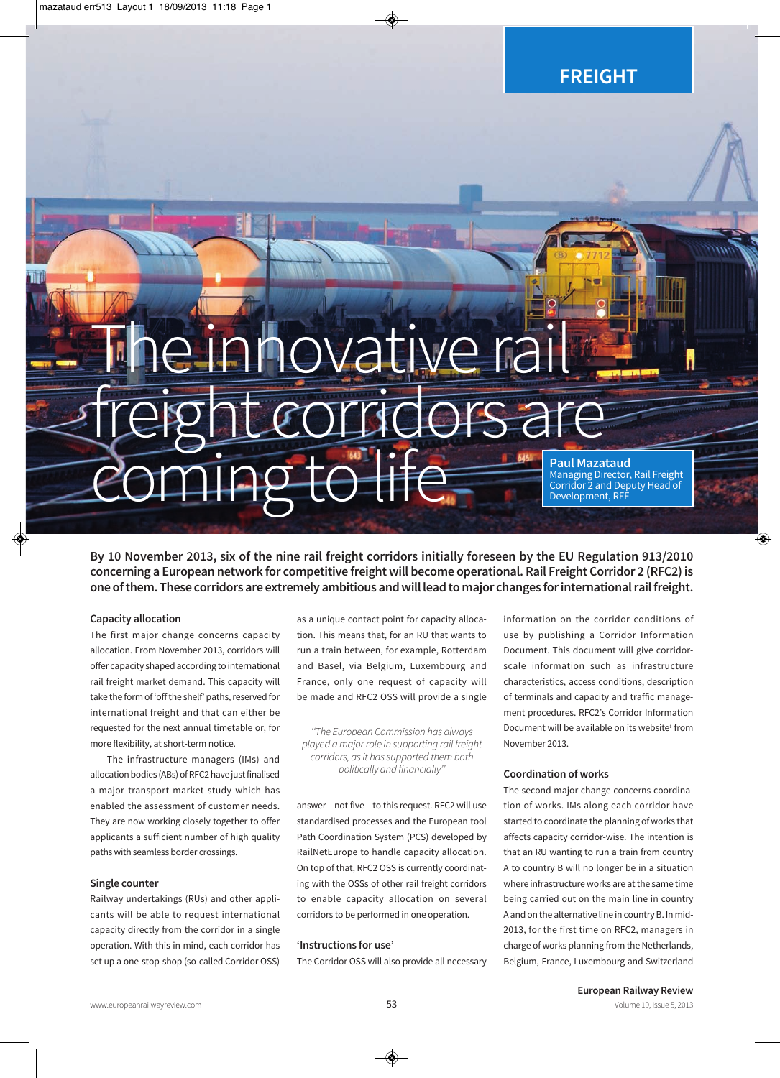**FREIGHT**

# The innovative rail freight corridors are **COMING TO LIFE RESEARCH PAUL Mazataud Managing Director,** Managing Director, Rail Freight Corridor 2 and Deputy Head of

Development, RFF

**By 10 November 2013, six of the nine rail freight corridors initially foreseen by the EU Regulation 913/2010 concerning a European network for competitive freight will become operational. Rail Freight Corridor 2 (RFC2) is one of them. These corridors are extremely ambitious and will lead to major changes for international rail freight.** 

## **Capacity allocation**

The first major change concerns capacity allocation. From November 2013, corridors will offer capacity shaped according to international rail freight market demand. This capacity will take the form of 'off the shelf' paths, reserved for international freight and that can either be requested for the next annual timetable or, for more flexibility, at short-term notice.

The infrastructure managers (IMs) and allocation bodies (ABs) of RFC2 have just finalised a major transport market study which has enabled the assessment of customer needs. They are now working closely together to offer applicants a sufficient number of high quality paths with seamless border crossings.

# **Single counter**

Railway undertakings (RUs) and other appli cants will be able to request international capacity directly from the corridor in a single operation. With this in mind, each corridor has set up a one-stop-shop (so-called Corridor OSS)

as a unique contact point for capacity allocation. This means that, for an RU that wants to run a train between, for example, Rotterdam and Basel, via Belgium, Luxembourg and France, only one request of capacity will be made and RFC2 OSS will provide a single

''The European Commission has always played a major role in supporting rail freight corridors, as it has supported them both politically and financially''

answer – not five – to this request. RFC2 will use standardised processes and the European tool Path Coordination System (PCS) developed by RailNetEurope to handle capacity allocation. On top of that, RFC2 OSS is currently coordinat ing with the OSSs of other rail freight corridors to enable capacity allocation on several corridors to be performed in one operation.

# **'Instructions for use'**

The Corridor OSS will also provide all necessary

information on the corridor conditions of use by publishing a Corridor Information Document. This document will give corridorscale information such as infrastructure characteristics, access conditions, description of terminals and capacity and traffic manage ment procedures. RFC2's Corridor Information Document will be available on its website**<sup>1</sup>** from November 2013.

# **Coordination of works**

The second major change concerns coordination of works. IMs along each corridor have started to coordinate the planning of works that affects capacity corridor-wise. The intention is that an RU wanting to run a train from country A to country B will no longer be in a situation where infrastructure works are at the same time being carried out on the main line in country A and on the alternative line in country B. In mid-2013, for the first time on RFC2, managers in charge of works planning from the Netherlands, Belgium, France, Luxembourg and Switzerland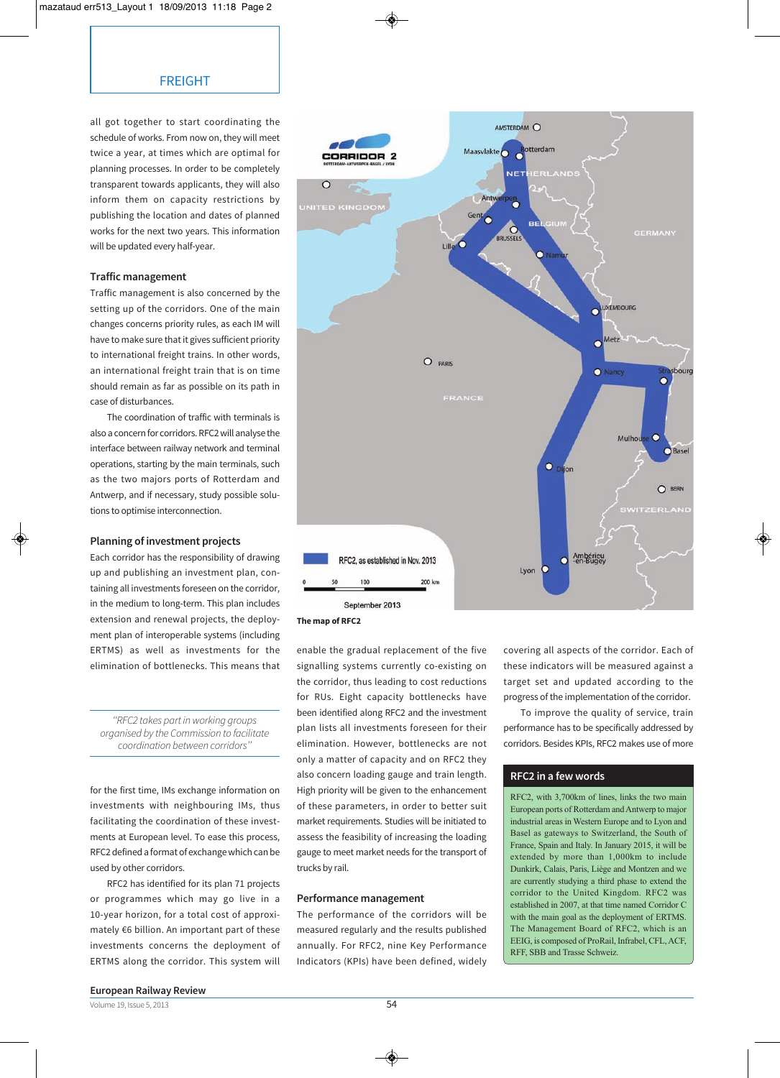all got together to start coordinating the schedule of works. From now on, they will meet twice a year, at times which are optimal for planning processes. In order to be completely transparent towards applicants, they will also inform them on capacity restrictions by publishing the location and dates of planned works for the next two years. This information will be updated every half-year.

## **Traffic management**

Traffic management is also concerned by the setting up of the corridors. One of the main changes concerns priority rules, as each IM will have to make sure that it gives sufficient priority to international freight trains. In other words, an international freight train that is on time should remain as far as possible on its path in case of disturbances.

The coordination of traffic with terminals is also a concern for corridors. RFC2 will analyse the interface between railway network and terminal operations, starting by the main terminals, such as the two majors ports of Rotterdam and Antwerp, and if necessary, study possible solutions to optimise interconnection.

## **Planning of investment projects**

Each corridor has the responsibility of drawing up and publishing an investment plan, containing all investments foreseen on the corridor, in the medium to long-term. This plan includes extension and renewal projects, the deployment plan of interoperable systems (including ERTMS) as well as investments for the elimination of bottlenecks. This means that

''RFC2 takes part in working groups organised by the Commission to facilitate coordination between corridors''

for the first time, IMs exchange information on investments with neighbouring IMs, thus facilitating the coordination of these investments at European level. To ease this process, RFC2 defined a format of exchange which can be used by other corridors.

RFC2 has identified for its plan 71 projects or programmes which may go live in a 10-year horizon, for a total cost of approximately €6 billion. An important part of these investments concerns the deployment of ERTMS along the corridor. This system will



enable the gradual replacement of the five signalling systems currently co-existing on the corridor, thus leading to cost reductions for RUs. Eight capacity bottlenecks have been identified along RFC2 and the investment plan lists all investments foreseen for their elimination. However, bottlenecks are not only a matter of capacity and on RFC2 they also concern loading gauge and train length. High priority will be given to the enhancement of these parameters, in order to better suit market requirements. Studies will be initiated to assess the feasibility of increasing the loading gauge to meet market needs for the transport of trucks by rail.

### **Performance management**

The performance of the corridors will be measured regularly and the results published annually. For RFC2, nine Key Performance Indicators (KPIs) have been defined, widely

covering all aspects of the corridor. Each of these indicators will be measured against a target set and updated according to the progress of the implementation of the corridor.

To improve the quality of service, train performance has to be specifically addressed by corridors. Besides KPIs, RFC2 makes use of more

# **RFC2 in a few words**

RFC2, with 3,700km of lines, links the two main European ports of Rotterdam and Antwerp to major industrial areas in Western Europe and to Lyon and Basel as gateways to Switzerland, the South of France, Spain and Italy. In January 2015, it will be extended by more than 1,000km to include Dunkirk, Calais, Paris, Liège and Montzen and we are currently studying a third phase to extend the corridor to the United Kingdom. RFC2 was established in 2007, at that time named Corridor C with the main goal as the deployment of ERTMS. The Management Board of RFC2, which is an EEIG, is composed of ProRail, Infrabel, CFL, ACF, RFF, SBB and Trasse Schweiz.